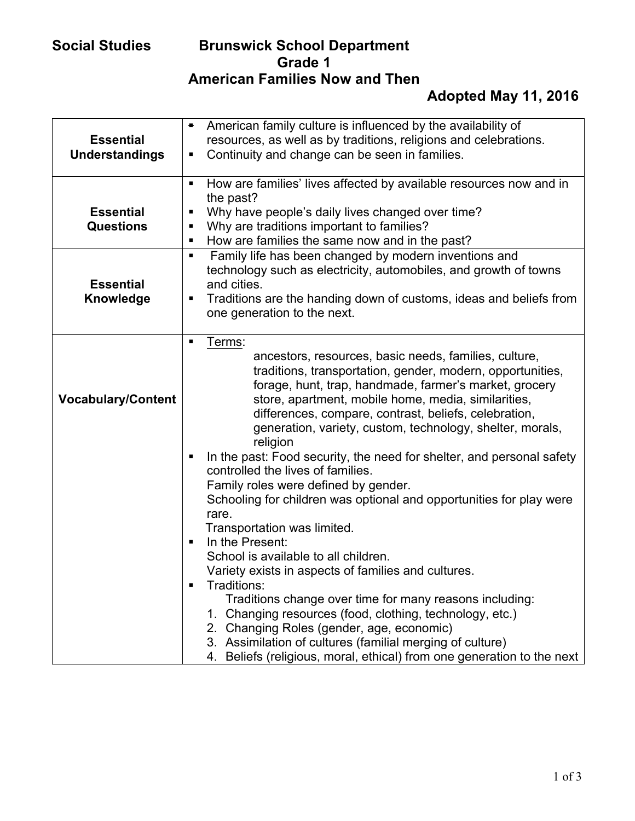| <b>Essential</b>          | American family culture is influenced by the availability of<br>$\blacksquare$                                            |
|---------------------------|---------------------------------------------------------------------------------------------------------------------------|
| <b>Understandings</b>     | resources, as well as by traditions, religions and celebrations.<br>Continuity and change can be seen in families.<br>٠   |
|                           |                                                                                                                           |
|                           | How are families' lives affected by available resources now and in<br>$\blacksquare$                                      |
|                           | the past?                                                                                                                 |
| <b>Essential</b>          | Why have people's daily lives changed over time?<br>٠                                                                     |
| <b>Questions</b>          | Why are traditions important to families?<br>٠                                                                            |
|                           | How are families the same now and in the past?<br>п<br>$\blacksquare$                                                     |
|                           | Family life has been changed by modern inventions and<br>technology such as electricity, automobiles, and growth of towns |
| <b>Essential</b>          | and cities.                                                                                                               |
| Knowledge                 | Traditions are the handing down of customs, ideas and beliefs from<br>٠                                                   |
|                           | one generation to the next.                                                                                               |
|                           |                                                                                                                           |
|                           | Terms:<br>П                                                                                                               |
|                           | ancestors, resources, basic needs, families, culture,                                                                     |
|                           | traditions, transportation, gender, modern, opportunities,                                                                |
|                           | forage, hunt, trap, handmade, farmer's market, grocery                                                                    |
| <b>Vocabulary/Content</b> | store, apartment, mobile home, media, similarities,<br>differences, compare, contrast, beliefs, celebration,              |
|                           | generation, variety, custom, technology, shelter, morals,                                                                 |
|                           | religion                                                                                                                  |
|                           | In the past: Food security, the need for shelter, and personal safety<br>٠                                                |
|                           | controlled the lives of families.                                                                                         |
|                           | Family roles were defined by gender.                                                                                      |
|                           | Schooling for children was optional and opportunities for play were                                                       |
|                           | rare.                                                                                                                     |
|                           | Transportation was limited.                                                                                               |
|                           | In the Present:<br>п                                                                                                      |
|                           | School is available to all children.                                                                                      |
|                           | Variety exists in aspects of families and cultures.<br>Traditions:                                                        |
|                           | Traditions change over time for many reasons including:                                                                   |
|                           | 1. Changing resources (food, clothing, technology, etc.)                                                                  |
|                           | 2. Changing Roles (gender, age, economic)                                                                                 |
|                           | 3. Assimilation of cultures (familial merging of culture)                                                                 |
|                           | Beliefs (religious, moral, ethical) from one generation to the next<br>4.                                                 |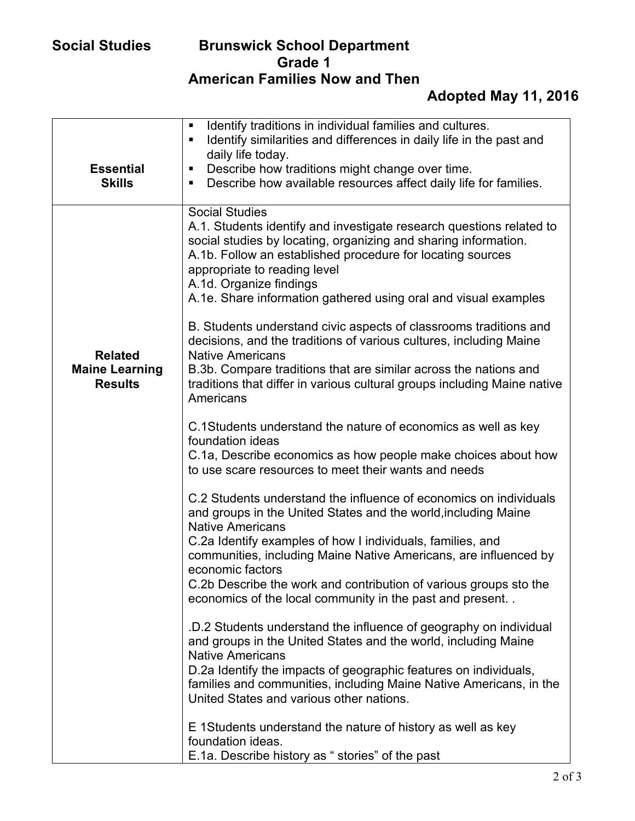| <b>Essential</b><br><b>Skills</b>       | Identify traditions in individual families and cultures.<br>$\blacksquare$<br>Identify similarities and differences in daily life in the past and<br>$\blacksquare$<br>daily life today.<br>Describe how traditions might change over time.<br>п<br>Describe how available resources affect daily life for families.<br>п                                    |
|-----------------------------------------|--------------------------------------------------------------------------------------------------------------------------------------------------------------------------------------------------------------------------------------------------------------------------------------------------------------------------------------------------------------|
|                                         |                                                                                                                                                                                                                                                                                                                                                              |
|                                         | <b>Social Studies</b><br>A.1. Students identify and investigate research questions related to<br>social studies by locating, organizing and sharing information.<br>A.1b. Follow an established procedure for locating sources<br>appropriate to reading level<br>A.1d. Organize findings<br>A.1e. Share information gathered using oral and visual examples |
| <b>Related</b>                          | B. Students understand civic aspects of classrooms traditions and<br>decisions, and the traditions of various cultures, including Maine<br><b>Native Americans</b>                                                                                                                                                                                           |
| <b>Maine Learning</b><br><b>Results</b> | B.3b. Compare traditions that are similar across the nations and<br>traditions that differ in various cultural groups including Maine native<br>Americans                                                                                                                                                                                                    |
|                                         | C.1Students understand the nature of economics as well as key<br>foundation ideas                                                                                                                                                                                                                                                                            |
|                                         | C.1a, Describe economics as how people make choices about how<br>to use scare resources to meet their wants and needs                                                                                                                                                                                                                                        |
|                                         | C.2 Students understand the influence of economics on individuals<br>and groups in the United States and the world, including Maine<br><b>Native Americans</b>                                                                                                                                                                                               |
|                                         | C.2a Identify examples of how I individuals, families, and<br>communities, including Maine Native Americans, are influenced by                                                                                                                                                                                                                               |
|                                         | economic factors<br>C.2b Describe the work and contribution of various groups sto the<br>economics of the local community in the past and present                                                                                                                                                                                                            |
|                                         | .D.2 Students understand the influence of geography on individual<br>and groups in the United States and the world, including Maine<br><b>Native Americans</b>                                                                                                                                                                                               |
|                                         | D.2a Identify the impacts of geographic features on individuals,<br>families and communities, including Maine Native Americans, in the<br>United States and various other nations.                                                                                                                                                                           |
|                                         | E 1Students understand the nature of history as well as key<br>foundation ideas.                                                                                                                                                                                                                                                                             |
|                                         | E.1a. Describe history as " stories" of the past                                                                                                                                                                                                                                                                                                             |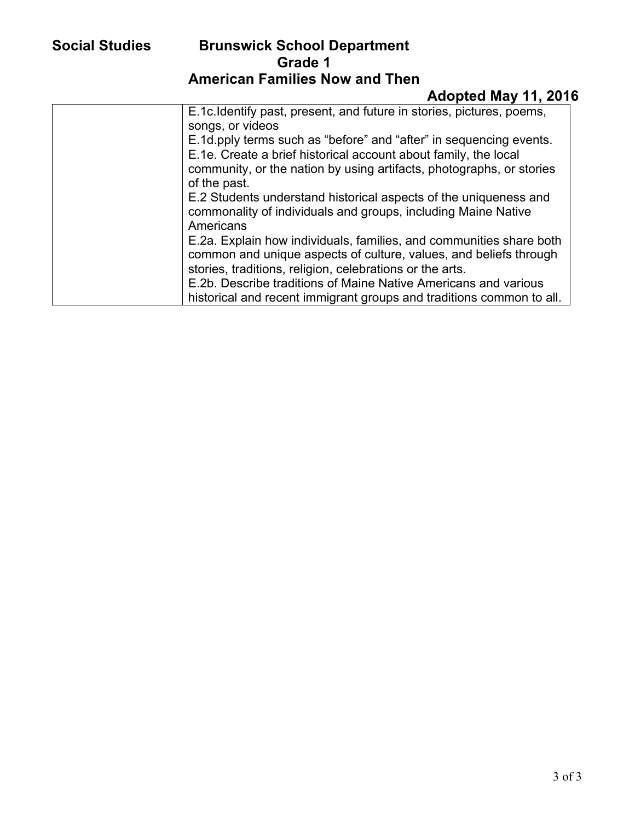| E.1c.Identify past, present, and future in stories, pictures, poems, |
|----------------------------------------------------------------------|
| songs, or videos                                                     |
| E.1d.pply terms such as "before" and "after" in sequencing events.   |
| E.1e. Create a brief historical account about family, the local      |
| community, or the nation by using artifacts, photographs, or stories |
| of the past.                                                         |
| E.2 Students understand historical aspects of the uniqueness and     |
| commonality of individuals and groups, including Maine Native        |
| Americans                                                            |
| E.2a. Explain how individuals, families, and communities share both  |
| common and unique aspects of culture, values, and beliefs through    |
| stories, traditions, religion, celebrations or the arts.             |
| E.2b. Describe traditions of Maine Native Americans and various      |
| historical and recent immigrant groups and traditions common to all. |
|                                                                      |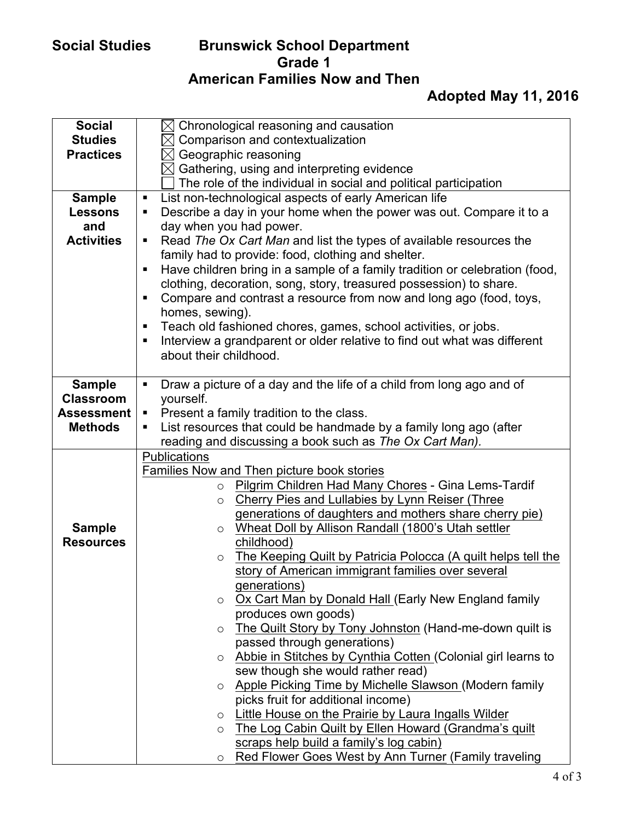| <b>Social</b>     | $\boxtimes$ Chronological reasoning and causation                                             |
|-------------------|-----------------------------------------------------------------------------------------------|
| <b>Studies</b>    | $\boxtimes$ Comparison and contextualization                                                  |
| <b>Practices</b>  | $\boxtimes$ Geographic reasoning                                                              |
|                   | $\boxtimes$ Gathering, using and interpreting evidence                                        |
|                   | The role of the individual in social and political participation                              |
|                   |                                                                                               |
| <b>Sample</b>     | List non-technological aspects of early American life<br>П                                    |
| <b>Lessons</b>    | Describe a day in your home when the power was out. Compare it to a<br>$\blacksquare$         |
| and               | day when you had power.                                                                       |
| <b>Activities</b> | Read The Ox Cart Man and list the types of available resources the<br>$\blacksquare$          |
|                   | family had to provide: food, clothing and shelter.                                            |
|                   | Have children bring in a sample of a family tradition or celebration (food,<br>$\blacksquare$ |
|                   | clothing, decoration, song, story, treasured possession) to share.                            |
|                   | Compare and contrast a resource from now and long ago (food, toys,<br>$\blacksquare$          |
|                   | homes, sewing).                                                                               |
|                   | Teach old fashioned chores, games, school activities, or jobs.<br>Е                           |
|                   | Interview a grandparent or older relative to find out what was different<br>п                 |
|                   | about their childhood.                                                                        |
|                   |                                                                                               |
| <b>Sample</b>     | Draw a picture of a day and the life of a child from long ago and of<br>$\blacksquare$        |
| <b>Classroom</b>  | yourself.                                                                                     |
| <b>Assessment</b> | Present a family tradition to the class.<br>Ξ                                                 |
| <b>Methods</b>    | List resources that could be handmade by a family long ago (after<br>ш                        |
|                   | reading and discussing a book such as The Ox Cart Man).                                       |
|                   | Publications                                                                                  |
|                   | Families Now and Then picture book stories                                                    |
|                   | Pilgrim Children Had Many Chores - Gina Lems-Tardif<br>$\circ$                                |
|                   | <b>Cherry Pies and Lullabies by Lynn Reiser (Three</b><br>$\circ$                             |
|                   | generations of daughters and mothers share cherry pie)                                        |
| <b>Sample</b>     | Wheat Doll by Allison Randall (1800's Utah settler<br>$\circ$                                 |
| <b>Resources</b>  | childhood)                                                                                    |
|                   | The Keeping Quilt by Patricia Polocca (A quilt helps tell the<br>$\circ$                      |
|                   | story of American immigrant families over several                                             |
|                   | generations)                                                                                  |
|                   | Ox Cart Man by Donald Hall (Early New England family<br>$\circ$                               |
|                   | produces own goods)                                                                           |
|                   |                                                                                               |
|                   | The Quilt Story by Tony Johnston (Hand-me-down quilt is<br>$\circ$                            |
|                   | passed through generations)                                                                   |
|                   | ○ Abbie in Stitches by Cynthia Cotten (Colonial girl learns to                                |
|                   | sew though she would rather read)                                                             |
|                   | Apple Picking Time by Michelle Slawson (Modern family<br>$\circ$                              |
|                   | picks fruit for additional income)                                                            |
|                   | Little House on the Prairie by Laura Ingalls Wilder<br>$\circ$                                |
|                   | The Log Cabin Quilt by Ellen Howard (Grandma's quilt<br>$\circ$                               |
|                   | scraps help build a family's log cabin)                                                       |
|                   | Red Flower Goes West by Ann Turner (Family traveling<br>$\circ$                               |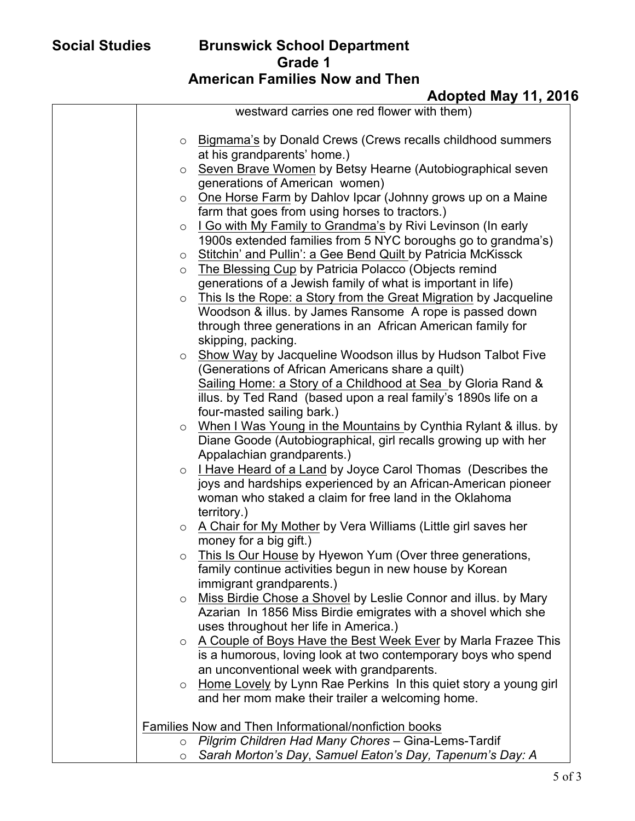|         | westward carries one red flower with them)                          |
|---------|---------------------------------------------------------------------|
|         |                                                                     |
|         | o Bigmama's by Donald Crews (Crews recalls childhood summers        |
|         | at his grandparents' home.)                                         |
|         | o Seven Brave Women by Betsy Hearne (Autobiographical seven         |
|         | generations of American women)                                      |
| $\circ$ | One Horse Farm by Dahlov Ipcar (Johnny grows up on a Maine          |
|         | farm that goes from using horses to tractors.)                      |
| $\circ$ | I Go with My Family to Grandma's by Rivi Levinson (In early         |
|         | 1900s extended families from 5 NYC boroughs go to grandma's)        |
| $\circ$ | Stitchin' and Pullin': a Gee Bend Quilt by Patricia McKissck        |
| $\circ$ | The Blessing Cup by Patricia Polacco (Objects remind                |
|         | generations of a Jewish family of what is important in life)        |
| $\circ$ | This Is the Rope: a Story from the Great Migration by Jacqueline    |
|         | Woodson & illus. by James Ransome A rope is passed down             |
|         | through three generations in an African American family for         |
|         | skipping, packing.                                                  |
|         | ○ Show Way by Jacqueline Woodson illus by Hudson Talbot Five        |
|         | (Generations of African Americans share a quilt)                    |
|         | Sailing Home: a Story of a Childhood at Sea by Gloria Rand &        |
|         | illus. by Ted Rand (based upon a real family's 1890s life on a      |
|         | four-masted sailing bark.)                                          |
|         | o When I Was Young in the Mountains by Cynthia Rylant & illus. by   |
|         | Diane Goode (Autobiographical, girl recalls growing up with her     |
|         | Appalachian grandparents.)                                          |
|         | $\circ$ I Have Heard of a Land by Joyce Carol Thomas (Describes the |
|         | joys and hardships experienced by an African-American pioneer       |
|         | woman who staked a claim for free land in the Oklahoma              |
|         | territory.)                                                         |
|         | o A Chair for My Mother by Vera Williams (Little girl saves her     |
|         | money for a big gift.)                                              |
| $\circ$ | This Is Our House by Hyewon Yum (Over three generations,            |
|         | family continue activities begun in new house by Korean             |
|         | immigrant grandparents.)                                            |
| $\circ$ | Miss Birdie Chose a Shovel by Leslie Connor and illus. by Mary      |
|         | Azarian In 1856 Miss Birdie emigrates with a shovel which she       |
|         | uses throughout her life in America.)                               |
| $\circ$ | A Couple of Boys Have the Best Week Ever by Marla Frazee This       |
|         | is a humorous, loving look at two contemporary boys who spend       |
|         | an unconventional week with grandparents.                           |
| $\circ$ | Home Lovely by Lynn Rae Perkins In this quiet story a young girl    |
|         | and her mom make their trailer a welcoming home.                    |
|         | Families Now and Then Informational/nonfiction books                |
|         | o Pilgrim Children Had Many Chores - Gina-Lems-Tardif               |
| $\circ$ | Sarah Morton's Day, Samuel Eaton's Day, Tapenum's Day: A            |
|         |                                                                     |